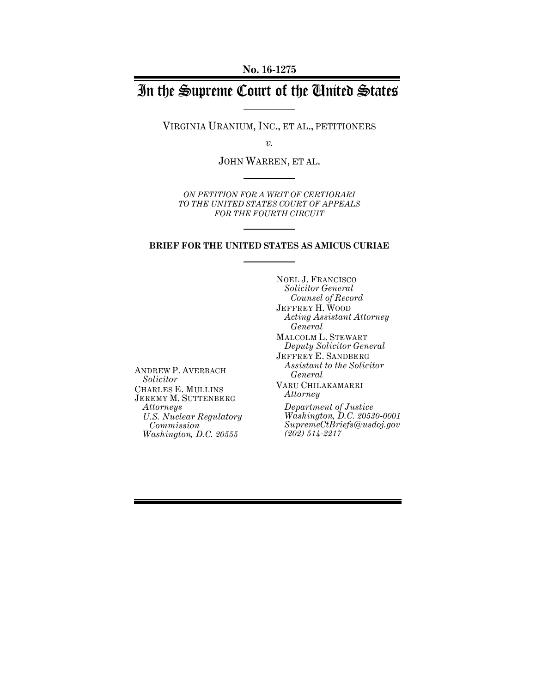# In the Supreme Court of the United States

VIRGINIA URANIUM, INC., ET AL., PETITIONERS

*v.*

JOHN WARREN, ET AL.

*ON PETITION FOR A WRIT OF CERTIORARI TO THE UNITED STATES COURT OF APPEALS FOR THE FOURTH CIRCUIT*

#### **BRIEF FOR THE UNITED STATES AS AMICUS CURIAE**

ANDREW P. AVERBACH *Solicitor*  CHARLES E. MULLINS JEREMY M. SUTTENBERG *Attorneys U.S. Nuclear Regulatory Commission Washington, D.C. 20555*

NOEL J. FRANCISCO *Solicitor General Counsel of Record* JEFFREY H. WOOD *Acting Assistant Attorney General* MALCOLM L. STEWART *Deputy Solicitor General* JEFFREY E. SANDBERG *Assistant to the Solicitor General* VARU CHILAKAMARRI *Attorney Department of Justice Washington, D.C. 20530-0001 SupremeCtBriefs@usdoj.gov (202) 514-2217*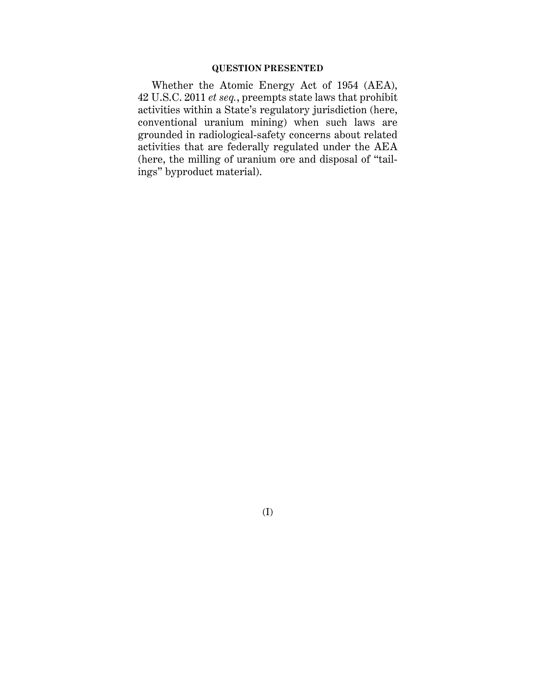## **QUESTION PRESENTED**

Whether the Atomic Energy Act of 1954 (AEA), 42 U.S.C. 2011 *et seq.*, preempts state laws that prohibit activities within a State's regulatory jurisdiction (here, conventional uranium mining) when such laws are grounded in radiological-safety concerns about related activities that are federally regulated under the AEA (here, the milling of uranium ore and disposal of "tailings" byproduct material).

(I)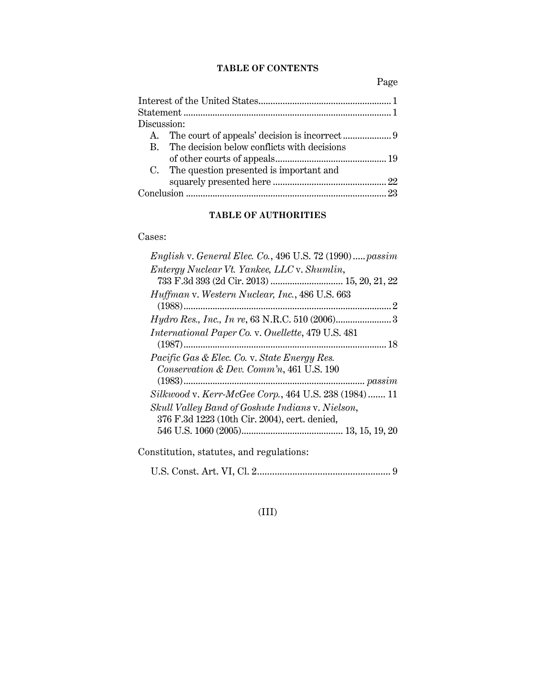# **TABLE OF CONTENTS**

Page

| Discussion: |                                                |  |  |  |  |
|-------------|------------------------------------------------|--|--|--|--|
|             |                                                |  |  |  |  |
|             | B. The decision below conflicts with decisions |  |  |  |  |
|             |                                                |  |  |  |  |
|             | C. The question presented is important and     |  |  |  |  |
|             |                                                |  |  |  |  |
|             |                                                |  |  |  |  |
|             |                                                |  |  |  |  |

# **TABLE OF AUTHORITIES**

# Cases:

| English v. General Elec. Co., 496 U.S. 72 $(1990)$ passim |
|-----------------------------------------------------------|
| Entergy Nuclear Vt. Yankee, LLC v. Shumlin,               |
| Huffman v. Western Nuclear, Inc., 486 U.S. 663            |
|                                                           |
| <i>Hydro Res., Inc., In re, 63 N.R.C. 510 (2006)</i> 3    |
| <i>International Paper Co. v. Ouellette, 479 U.S. 481</i> |
|                                                           |
| <i>Pacific Gas &amp; Elec. Co. v. State Energy Res.</i>   |
| Conservation & Dev. Comm'n, 461 U.S. 190                  |
|                                                           |
| Silkwood v. Kerr-McGee Corp., 464 U.S. 238 (1984) 11      |
| Skull Valley Band of Goshute Indians v. Nielson,          |
| 376 F.3d 1223 (10th Cir. 2004), cert. denied,             |
|                                                           |
| Constitution, statutes, and regulations:                  |

|--|--|--|--|--|

# (III)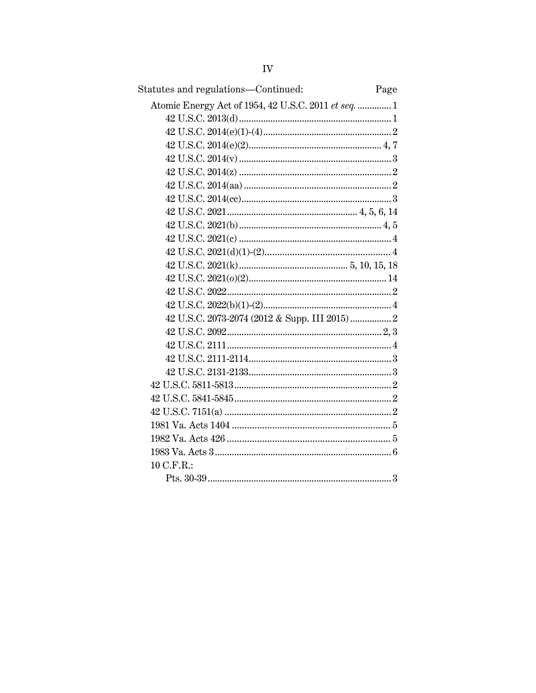| Statutes and regulations-Continued:<br>Page          |  |
|------------------------------------------------------|--|
| Atomic Energy Act of 1954, 42 U.S.C. 2011 et seq.  1 |  |
|                                                      |  |
|                                                      |  |
|                                                      |  |
|                                                      |  |
|                                                      |  |
|                                                      |  |
|                                                      |  |
|                                                      |  |
|                                                      |  |
|                                                      |  |
|                                                      |  |
|                                                      |  |
|                                                      |  |
|                                                      |  |
|                                                      |  |
|                                                      |  |
|                                                      |  |
|                                                      |  |
|                                                      |  |
|                                                      |  |
|                                                      |  |
|                                                      |  |
|                                                      |  |
|                                                      |  |
|                                                      |  |
|                                                      |  |
| 10 C.F.R.:                                           |  |
|                                                      |  |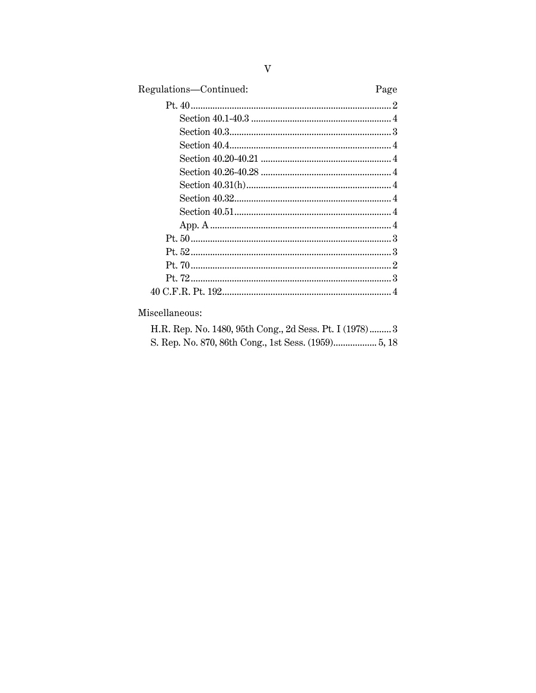| Regulations-Continued: | Page |
|------------------------|------|
|                        |      |
|                        |      |
|                        |      |
|                        |      |
|                        |      |
|                        |      |
|                        |      |
|                        |      |
|                        |      |
|                        |      |
|                        |      |
|                        |      |
|                        |      |
|                        |      |
|                        |      |

Miscellaneous:

|  |  |  |  |  | H.R. Rep. No. 1480, 95th Cong., 2d Sess. Pt. I (1978) 3 |  |
|--|--|--|--|--|---------------------------------------------------------|--|
|  |  |  |  |  |                                                         |  |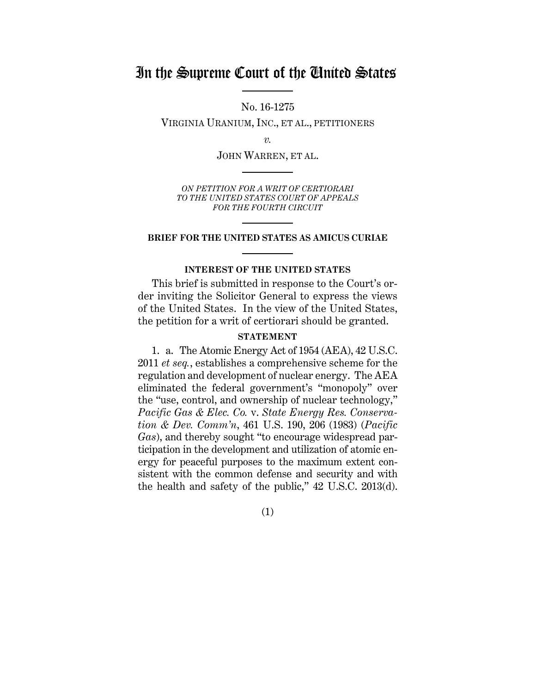# In the Supreme Court of the United States

No. 16-1275

VIRGINIA URANIUM, INC., ET AL., PETITIONERS

*v.*

JOHN WARREN, ET AL.

*ON PETITION FOR A WRIT OF CERTIORARI TO THE UNITED STATES COURT OF APPEALS FOR THE FOURTH CIRCUIT*

#### **BRIEF FOR THE UNITED STATES AS AMICUS CURIAE**

## **INTEREST OF THE UNITED STATES**

This brief is submitted in response to the Court's order inviting the Solicitor General to express the views of the United States. In the view of the United States, the petition for a writ of certiorari should be granted.

## **STATEMENT**

1. a. The Atomic Energy Act of 1954 (AEA), 42 U.S.C. 2011 *et seq.*, establishes a comprehensive scheme for the regulation and development of nuclear energy. The AEA eliminated the federal government's "monopoly" over the "use, control, and ownership of nuclear technology," *Pacific Gas & Elec. Co.* v. *State Energy Res. Conservation & Dev. Comm'n*, 461 U.S. 190, 206 (1983) (*Pacific Gas*), and thereby sought "to encourage widespread participation in the development and utilization of atomic energy for peaceful purposes to the maximum extent consistent with the common defense and security and with the health and safety of the public," 42 U.S.C. 2013(d).

(1)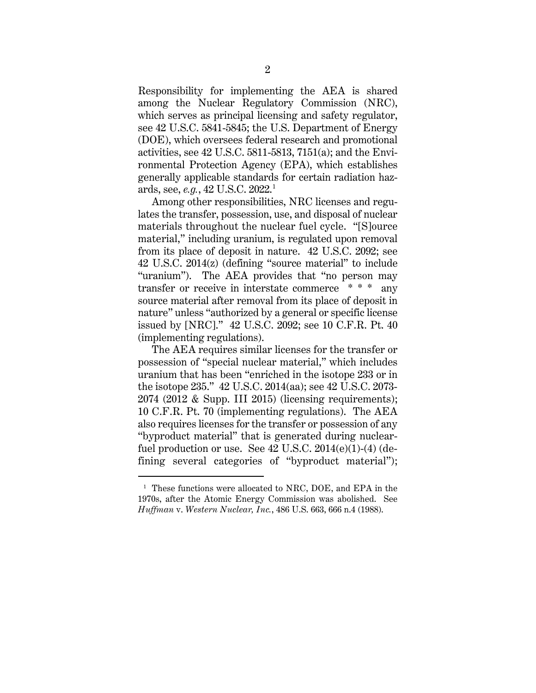Responsibility for implementing the AEA is shared among the Nuclear Regulatory Commission (NRC), which serves as principal licensing and safety regulator, see 42 U.S.C. 5841-5845; the U.S. Department of Energy (DOE), which oversees federal research and promotional activities, see 42 U.S.C. 5811-5813, 7151(a); and the Environmental Protection Agency (EPA), which establishes generally applicable standards for certain radiation hazards, see, *e.g.*, 42 U.S.C. 2022. 1

Among other responsibilities, NRC licenses and regulates the transfer, possession, use, and disposal of nuclear materials throughout the nuclear fuel cycle. "[S]ource material," including uranium, is regulated upon removal from its place of deposit in nature. 42 U.S.C. 2092; see 42 U.S.C. 2014(z) (defining "source material" to include "uranium"). The AEA provides that "no person may transfer or receive in interstate commerce \* \* \* any source material after removal from its place of deposit in nature" unless "authorized by a general or specific license issued by [NRC]." 42 U.S.C. 2092; see 10 C.F.R. Pt. 40 (implementing regulations).

The AEA requires similar licenses for the transfer or possession of "special nuclear material," which includes uranium that has been "enriched in the isotope 233 or in the isotope 235." 42 U.S.C. 2014(aa); see 42 U.S.C. 2073- 2074 (2012 & Supp. III 2015) (licensing requirements); 10 C.F.R. Pt. 70 (implementing regulations). The AEA also requires licenses for the transfer or possession of any "byproduct material" that is generated during nuclearfuel production or use. See  $42$  U.S.C.  $2014(e)(1)-(4)$  (defining several categories of "byproduct material");

<sup>&</sup>lt;sup>1</sup> These functions were allocated to NRC, DOE, and EPA in the 1970s, after the Atomic Energy Commission was abolished. See *Huffman* v. *Western Nuclear, Inc.*, 486 U.S. 663, 666 n.4 (1988).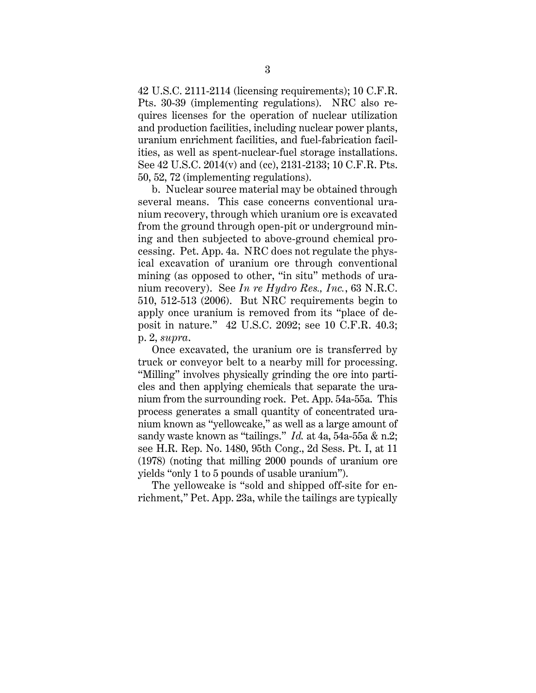42 U.S.C. 2111-2114 (licensing requirements); 10 C.F.R. Pts. 30-39 (implementing regulations). NRC also requires licenses for the operation of nuclear utilization and production facilities, including nuclear power plants, uranium enrichment facilities, and fuel-fabrication facilities, as well as spent-nuclear-fuel storage installations. See 42 U.S.C. 2014(v) and (cc), 2131-2133; 10 C.F.R. Pts. 50, 52, 72 (implementing regulations).

b. Nuclear source material may be obtained through several means. This case concerns conventional uranium recovery, through which uranium ore is excavated from the ground through open-pit or underground mining and then subjected to above-ground chemical processing. Pet. App. 4a. NRC does not regulate the physical excavation of uranium ore through conventional mining (as opposed to other, "in situ" methods of uranium recovery). See *In re Hydro Res., Inc.*, 63 N.R.C. 510, 512-513 (2006). But NRC requirements begin to apply once uranium is removed from its "place of deposit in nature." 42 U.S.C. 2092; see 10 C.F.R. 40.3; p. 2, *supra*.

Once excavated, the uranium ore is transferred by truck or conveyor belt to a nearby mill for processing. "Milling" involves physically grinding the ore into particles and then applying chemicals that separate the uranium from the surrounding rock. Pet. App. 54a-55a. This process generates a small quantity of concentrated uranium known as "yellowcake," as well as a large amount of sandy waste known as "tailings." *Id.* at 4a, 54a-55a & n.2; see H.R. Rep. No. 1480, 95th Cong., 2d Sess. Pt. I, at 11 (1978) (noting that milling 2000 pounds of uranium ore yields "only 1 to 5 pounds of usable uranium").

The yellowcake is "sold and shipped off-site for enrichment," Pet. App. 23a, while the tailings are typically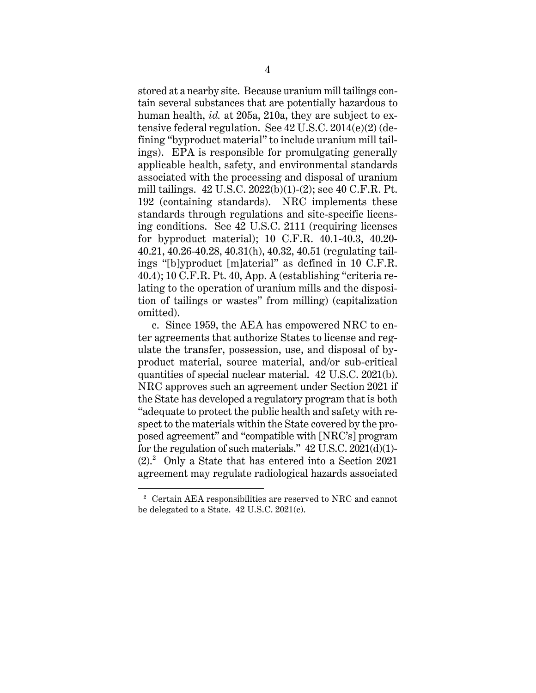stored at a nearby site. Because uranium mill tailings contain several substances that are potentially hazardous to human health, *id.* at 205a, 210a, they are subject to extensive federal regulation. See 42 U.S.C. 2014(e)(2) (defining "byproduct material" to include uranium mill tailings). EPA is responsible for promulgating generally applicable health, safety, and environmental standards associated with the processing and disposal of uranium mill tailings. 42 U.S.C. 2022(b)(1)-(2); see 40 C.F.R. Pt. 192 (containing standards). NRC implements these standards through regulations and site-specific licensing conditions. See 42 U.S.C. 2111 (requiring licenses for byproduct material); 10 C.F.R. 40.1-40.3, 40.20- 40.21, 40.26-40.28, 40.31(h), 40.32, 40.51 (regulating tailings "[b]yproduct [m]aterial" as defined in 10 C.F.R. 40.4); 10 C.F.R. Pt. 40, App. A (establishing "criteria relating to the operation of uranium mills and the disposition of tailings or wastes" from milling) (capitalization omitted).

c. Since 1959, the AEA has empowered NRC to enter agreements that authorize States to license and regulate the transfer, possession, use, and disposal of byproduct material, source material, and/or sub-critical quantities of special nuclear material. 42 U.S.C. 2021(b). NRC approves such an agreement under Section 2021 if the State has developed a regulatory program that is both "adequate to protect the public health and safety with respect to the materials within the State covered by the proposed agreement" and "compatible with [NRC's] program for the regulation of such materials."  $42$  U.S.C.  $2021(d)(1)$ -(2). 2 Only a State that has entered into a Section 2021 agreement may regulate radiological hazards associated

<sup>2</sup> Certain AEA responsibilities are reserved to NRC and cannot be delegated to a State. 42 U.S.C. 2021(c).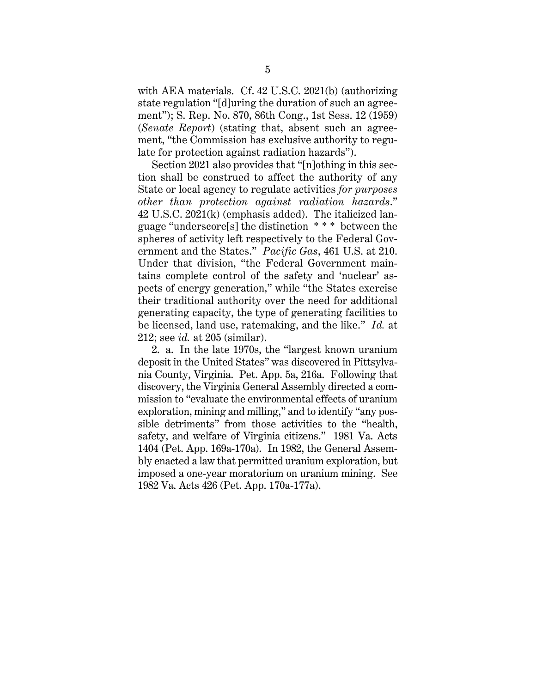with AEA materials. Cf. 42 U.S.C. 2021(b) (authorizing state regulation "[d]uring the duration of such an agreement"); S. Rep. No. 870, 86th Cong., 1st Sess. 12 (1959) (*Senate Report*) (stating that, absent such an agreement, "the Commission has exclusive authority to regulate for protection against radiation hazards").

Section 2021 also provides that "[n]othing in this section shall be construed to affect the authority of any State or local agency to regulate activities *for purposes other than protection against radiation hazards*." 42 U.S.C. 2021(k) (emphasis added). The italicized language "underscore[s] the distinction \* \* \* between the spheres of activity left respectively to the Federal Government and the States." *Pacific Gas*, 461 U.S. at 210. Under that division, "the Federal Government maintains complete control of the safety and 'nuclear' aspects of energy generation," while "the States exercise their traditional authority over the need for additional generating capacity, the type of generating facilities to be licensed, land use, ratemaking, and the like." *Id.* at 212; see *id.* at 205 (similar).

2. a. In the late 1970s, the "largest known uranium deposit in the United States" was discovered in Pittsylvania County, Virginia. Pet. App. 5a, 216a. Following that discovery, the Virginia General Assembly directed a commission to "evaluate the environmental effects of uranium exploration, mining and milling," and to identify "any possible detriments" from those activities to the "health, safety, and welfare of Virginia citizens." 1981 Va. Acts 1404 (Pet. App. 169a-170a). In 1982, the General Assembly enacted a law that permitted uranium exploration, but imposed a one-year moratorium on uranium mining. See 1982 Va. Acts 426 (Pet. App. 170a-177a).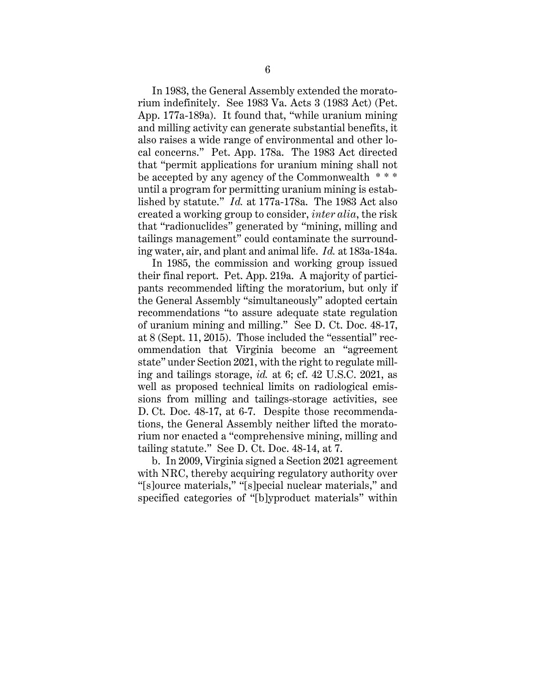In 1983, the General Assembly extended the moratorium indefinitely. See 1983 Va. Acts 3 (1983 Act) (Pet. App. 177a-189a). It found that, "while uranium mining and milling activity can generate substantial benefits, it also raises a wide range of environmental and other local concerns." Pet. App. 178a. The 1983 Act directed that "permit applications for uranium mining shall not be accepted by any agency of the Commonwealth \* \* \* until a program for permitting uranium mining is established by statute." *Id.* at 177a-178a. The 1983 Act also created a working group to consider, *inter alia*, the risk that "radionuclides" generated by "mining, milling and tailings management" could contaminate the surrounding water, air, and plant and animal life. *Id.* at 183a-184a.

In 1985, the commission and working group issued their final report. Pet. App. 219a. A majority of participants recommended lifting the moratorium, but only if the General Assembly "simultaneously" adopted certain recommendations "to assure adequate state regulation of uranium mining and milling." See D. Ct. Doc. 48-17, at 8 (Sept. 11, 2015). Those included the "essential" recommendation that Virginia become an "agreement state" under Section 2021, with the right to regulate milling and tailings storage, *id.* at 6; cf. 42 U.S.C. 2021, as well as proposed technical limits on radiological emissions from milling and tailings-storage activities, see D. Ct. Doc. 48-17, at 6-7. Despite those recommendations, the General Assembly neither lifted the moratorium nor enacted a "comprehensive mining, milling and tailing statute." See D. Ct. Doc. 48-14, at 7.

b. In 2009, Virginia signed a Section 2021 agreement with NRC, thereby acquiring regulatory authority over "[s]ource materials," "[s]pecial nuclear materials," and specified categories of "[b]yproduct materials" within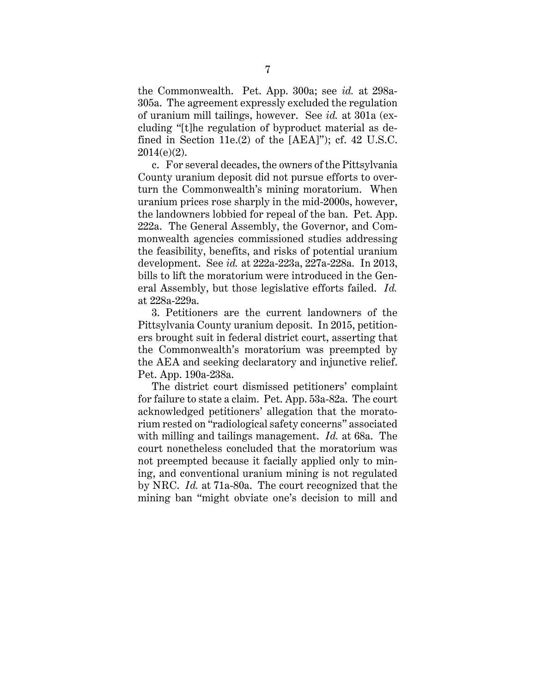the Commonwealth. Pet. App. 300a; see *id.* at 298a-305a. The agreement expressly excluded the regulation of uranium mill tailings, however. See *id.* at 301a (excluding "[t]he regulation of byproduct material as defined in Section 11e.(2) of the [AEA]"); cf. 42 U.S.C.  $2014(e)(2)$ .

c. For several decades, the owners of the Pittsylvania County uranium deposit did not pursue efforts to overturn the Commonwealth's mining moratorium. When uranium prices rose sharply in the mid-2000s, however, the landowners lobbied for repeal of the ban. Pet. App. 222a. The General Assembly, the Governor, and Commonwealth agencies commissioned studies addressing the feasibility, benefits, and risks of potential uranium development. See *id.* at 222a-223a, 227a-228a. In 2013, bills to lift the moratorium were introduced in the General Assembly, but those legislative efforts failed. *Id.* at 228a-229a.

3. Petitioners are the current landowners of the Pittsylvania County uranium deposit. In 2015, petitioners brought suit in federal district court, asserting that the Commonwealth's moratorium was preempted by the AEA and seeking declaratory and injunctive relief. Pet. App. 190a-238a.

The district court dismissed petitioners' complaint for failure to state a claim. Pet. App. 53a-82a. The court acknowledged petitioners' allegation that the moratorium rested on "radiological safety concerns" associated with milling and tailings management. *Id.* at 68a. The court nonetheless concluded that the moratorium was not preempted because it facially applied only to mining, and conventional uranium mining is not regulated by NRC. *Id.* at 71a-80a. The court recognized that the mining ban "might obviate one's decision to mill and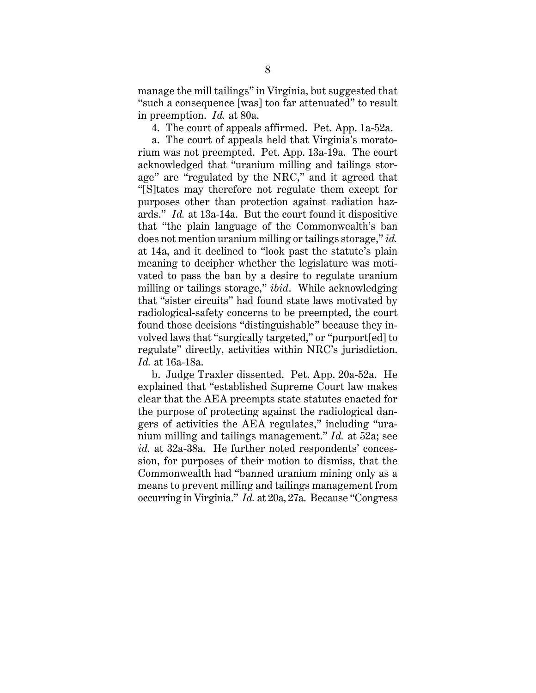manage the mill tailings" in Virginia, but suggested that "such a consequence [was] too far attenuated" to result in preemption. *Id.* at 80a.

4. The court of appeals affirmed. Pet. App. 1a-52a.

a. The court of appeals held that Virginia's moratorium was not preempted. Pet. App. 13a-19a. The court acknowledged that "uranium milling and tailings storage" are "regulated by the NRC," and it agreed that "[S]tates may therefore not regulate them except for purposes other than protection against radiation hazards." *Id.* at 13a-14a. But the court found it dispositive that "the plain language of the Commonwealth's ban does not mention uranium milling or tailings storage," *id.* at 14a, and it declined to "look past the statute's plain meaning to decipher whether the legislature was motivated to pass the ban by a desire to regulate uranium milling or tailings storage," *ibid*. While acknowledging that "sister circuits" had found state laws motivated by radiological-safety concerns to be preempted, the court found those decisions "distinguishable" because they involved laws that "surgically targeted," or "purport[ed] to regulate" directly, activities within NRC's jurisdiction. *Id.* at 16a-18a.

b. Judge Traxler dissented. Pet. App. 20a-52a. He explained that "established Supreme Court law makes clear that the AEA preempts state statutes enacted for the purpose of protecting against the radiological dangers of activities the AEA regulates," including "uranium milling and tailings management." *Id.* at 52a; see *id.* at 32a-38a. He further noted respondents' concession, for purposes of their motion to dismiss, that the Commonwealth had "banned uranium mining only as a means to prevent milling and tailings management from occurring in Virginia." *Id.* at 20a, 27a. Because "Congress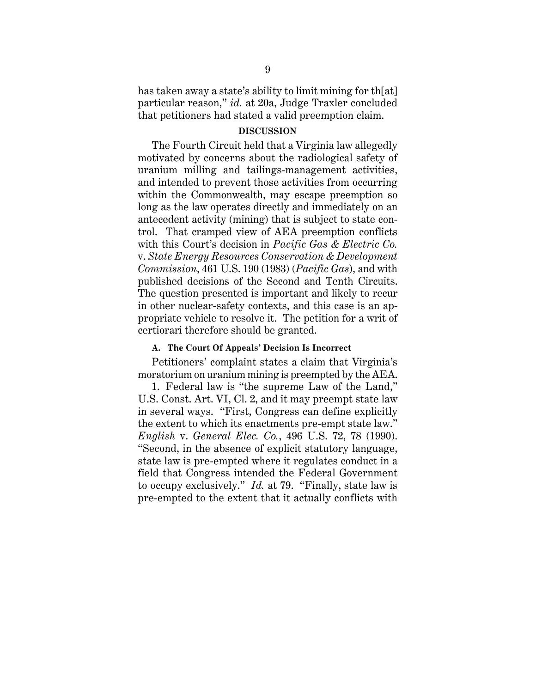has taken away a state's ability to limit mining for th[at] particular reason," *id.* at 20a, Judge Traxler concluded that petitioners had stated a valid preemption claim.

#### **DISCUSSION**

The Fourth Circuit held that a Virginia law allegedly motivated by concerns about the radiological safety of uranium milling and tailings-management activities, and intended to prevent those activities from occurring within the Commonwealth, may escape preemption so long as the law operates directly and immediately on an antecedent activity (mining) that is subject to state control. That cramped view of AEA preemption conflicts with this Court's decision in *Pacific Gas & Electric Co.* v. *State Energy Resources Conservation & Development Commission*, 461 U.S. 190 (1983) (*Pacific Gas*), and with published decisions of the Second and Tenth Circuits. The question presented is important and likely to recur in other nuclear-safety contexts, and this case is an appropriate vehicle to resolve it. The petition for a writ of certiorari therefore should be granted.

### **A. The Court Of Appeals' Decision Is Incorrect**

Petitioners' complaint states a claim that Virginia's moratorium on uranium mining is preempted by the AEA.

1. Federal law is "the supreme Law of the Land," U.S. Const. Art. VI, Cl. 2, and it may preempt state law in several ways. "First, Congress can define explicitly the extent to which its enactments pre-empt state law." *English* v. *General Elec. Co.*, 496 U.S. 72, 78 (1990). "Second, in the absence of explicit statutory language, state law is pre-empted where it regulates conduct in a field that Congress intended the Federal Government to occupy exclusively." *Id.* at 79. "Finally, state law is pre-empted to the extent that it actually conflicts with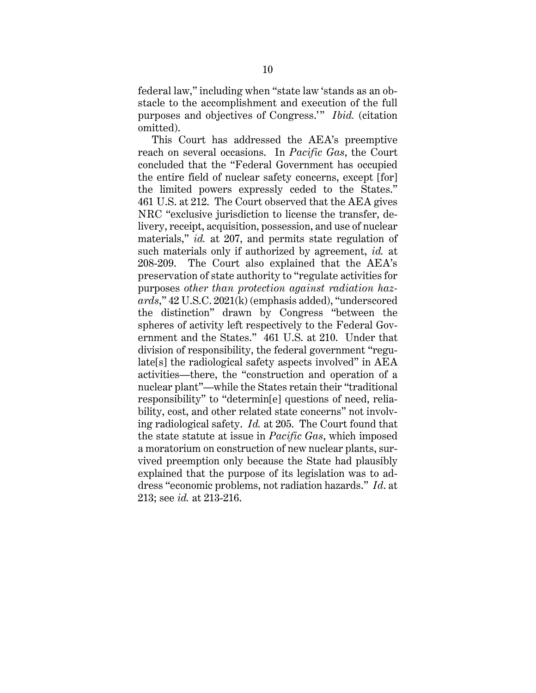federal law," including when "state law 'stands as an obstacle to the accomplishment and execution of the full purposes and objectives of Congress.'" *Ibid.* (citation omitted).

This Court has addressed the AEA's preemptive reach on several occasions. In *Pacific Gas*, the Court concluded that the "Federal Government has occupied the entire field of nuclear safety concerns, except [for] the limited powers expressly ceded to the States." 461 U.S. at 212. The Court observed that the AEA gives NRC "exclusive jurisdiction to license the transfer, delivery, receipt, acquisition, possession, and use of nuclear materials," *id.* at 207, and permits state regulation of such materials only if authorized by agreement, *id.* at 208-209. The Court also explained that the AEA's preservation of state authority to "regulate activities for purposes *other than protection against radiation hazards*," 42 U.S.C. 2021(k) (emphasis added), "underscored the distinction" drawn by Congress "between the spheres of activity left respectively to the Federal Government and the States." 461 U.S. at 210. Under that division of responsibility, the federal government "regulate[s] the radiological safety aspects involved" in AEA activities—there, the "construction and operation of a nuclear plant"—while the States retain their "traditional responsibility" to "determin[e] questions of need, reliability, cost, and other related state concerns" not involving radiological safety. *Id.* at 205. The Court found that the state statute at issue in *Pacific Gas*, which imposed a moratorium on construction of new nuclear plants, survived preemption only because the State had plausibly explained that the purpose of its legislation was to address "economic problems, not radiation hazards." *Id*. at 213; see *id.* at 213-216.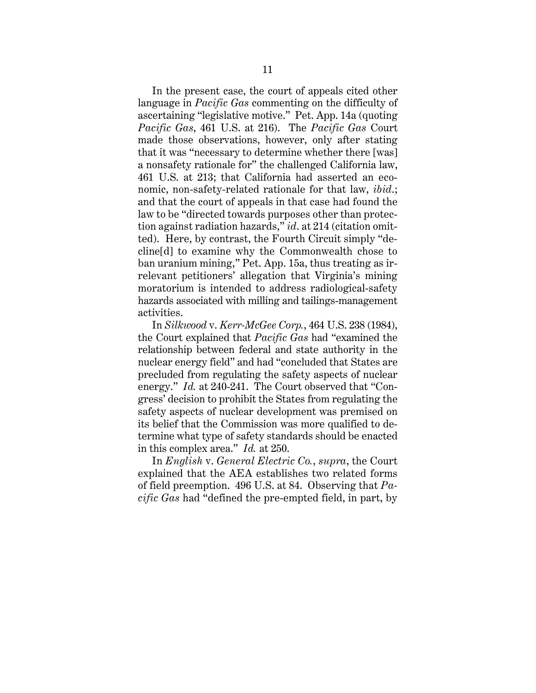In the present case, the court of appeals cited other language in *Pacific Gas* commenting on the difficulty of ascertaining "legislative motive." Pet. App. 14a (quoting *Pacific Gas*, 461 U.S. at 216). The *Pacific Gas* Court made those observations, however, only after stating that it was "necessary to determine whether there [was] a nonsafety rationale for" the challenged California law, 461 U.S. at 213; that California had asserted an economic, non-safety-related rationale for that law, *ibid*.; and that the court of appeals in that case had found the law to be "directed towards purposes other than protection against radiation hazards," *id*. at 214 (citation omitted). Here, by contrast, the Fourth Circuit simply "decline[d] to examine why the Commonwealth chose to ban uranium mining," Pet. App. 15a, thus treating as irrelevant petitioners' allegation that Virginia's mining moratorium is intended to address radiological-safety hazards associated with milling and tailings-management activities.

In *Silkwood* v. *Kerr-McGee Corp.*, 464 U.S. 238 (1984), the Court explained that *Pacific Gas* had "examined the relationship between federal and state authority in the nuclear energy field" and had "concluded that States are precluded from regulating the safety aspects of nuclear energy." *Id.* at 240-241. The Court observed that "Congress' decision to prohibit the States from regulating the safety aspects of nuclear development was premised on its belief that the Commission was more qualified to determine what type of safety standards should be enacted in this complex area." *Id.* at 250.

In *English* v. *General Electric Co.*, *supra*, the Court explained that the AEA establishes two related forms of field preemption. 496 U.S. at 84. Observing that *Pacific Gas* had "defined the pre-empted field, in part, by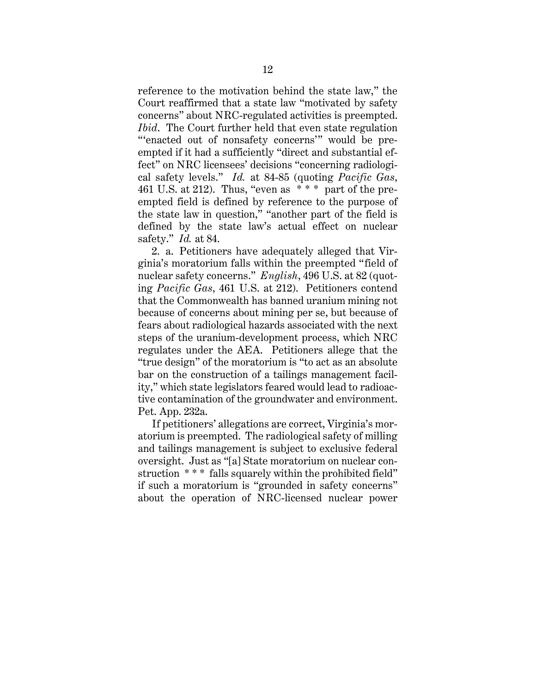reference to the motivation behind the state law," the Court reaffirmed that a state law "motivated by safety concerns" about NRC-regulated activities is preempted. *Ibid*. The Court further held that even state regulation "'enacted out of nonsafety concerns'" would be preempted if it had a sufficiently "direct and substantial effect" on NRC licensees' decisions "concerning radiological safety levels." *Id.* at 84-85 (quoting *Pacific Gas*, 461 U.S. at 212). Thus, "even as  $**$ " part of the preempted field is defined by reference to the purpose of the state law in question," "another part of the field is defined by the state law's actual effect on nuclear safety." *Id.* at 84.

2. a. Petitioners have adequately alleged that Virginia's moratorium falls within the preempted "field of nuclear safety concerns." *English*, 496 U.S. at 82 (quoting *Pacific Gas*, 461 U.S. at 212). Petitioners contend that the Commonwealth has banned uranium mining not because of concerns about mining per se, but because of fears about radiological hazards associated with the next steps of the uranium-development process, which NRC regulates under the AEA. Petitioners allege that the "true design" of the moratorium is "to act as an absolute bar on the construction of a tailings management facility," which state legislators feared would lead to radioactive contamination of the groundwater and environment. Pet. App. 232a.

If petitioners' allegations are correct, Virginia's moratorium is preempted. The radiological safety of milling and tailings management is subject to exclusive federal oversight. Just as "[a] State moratorium on nuclear construction \*\*\* falls squarely within the prohibited field" if such a moratorium is "grounded in safety concerns" about the operation of NRC-licensed nuclear power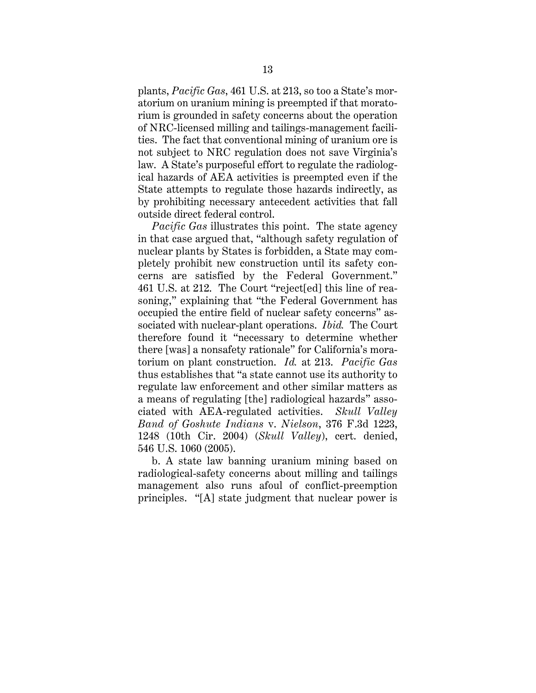plants, *Pacific Gas*, 461 U.S. at 213, so too a State's moratorium on uranium mining is preempted if that moratorium is grounded in safety concerns about the operation of NRC-licensed milling and tailings-management facilities. The fact that conventional mining of uranium ore is not subject to NRC regulation does not save Virginia's law. A State's purposeful effort to regulate the radiological hazards of AEA activities is preempted even if the State attempts to regulate those hazards indirectly, as by prohibiting necessary antecedent activities that fall outside direct federal control.

*Pacific Gas* illustrates this point. The state agency in that case argued that, "although safety regulation of nuclear plants by States is forbidden, a State may completely prohibit new construction until its safety concerns are satisfied by the Federal Government." 461 U.S. at 212. The Court "reject[ed] this line of reasoning," explaining that "the Federal Government has occupied the entire field of nuclear safety concerns" associated with nuclear-plant operations. *Ibid.* The Court therefore found it "necessary to determine whether there [was] a nonsafety rationale" for California's moratorium on plant construction. *Id.* at 213. *Pacific Gas* thus establishes that "a state cannot use its authority to regulate law enforcement and other similar matters as a means of regulating [the] radiological hazards" associated with AEA-regulated activities. *Skull Valley Band of Goshute Indians* v. *Nielson*, 376 F.3d 1223, 1248 (10th Cir. 2004) (*Skull Valley*), cert. denied, 546 U.S. 1060 (2005).

b. A state law banning uranium mining based on radiological-safety concerns about milling and tailings management also runs afoul of conflict-preemption principles. "[A] state judgment that nuclear power is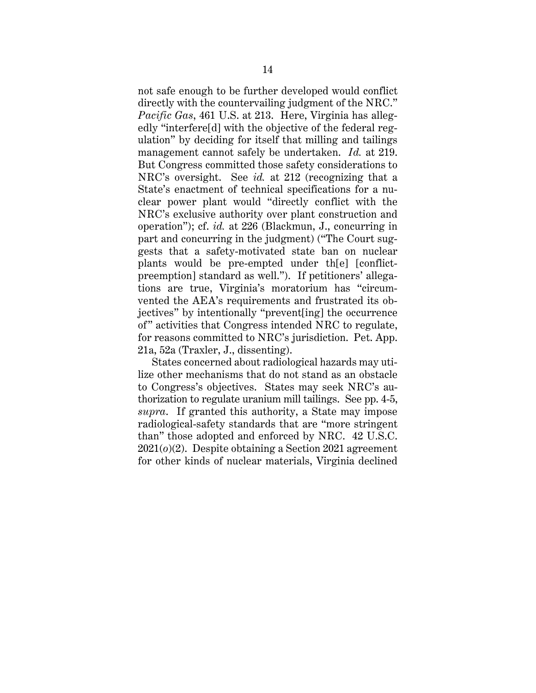not safe enough to be further developed would conflict directly with the countervailing judgment of the NRC." *Pacific Gas*, 461 U.S. at 213. Here, Virginia has allegedly "interfere[d] with the objective of the federal regulation" by deciding for itself that milling and tailings management cannot safely be undertaken. *Id.* at 219. But Congress committed those safety considerations to NRC's oversight. See *id.* at 212 (recognizing that a State's enactment of technical specifications for a nuclear power plant would "directly conflict with the NRC's exclusive authority over plant construction and operation"); cf. *id.* at 226 (Blackmun, J., concurring in part and concurring in the judgment) ("The Court suggests that a safety-motivated state ban on nuclear plants would be pre-empted under th[e] [conflictpreemption] standard as well."). If petitioners' allegations are true, Virginia's moratorium has "circumvented the AEA's requirements and frustrated its objectives" by intentionally "prevent[ing] the occurrence of" activities that Congress intended NRC to regulate, for reasons committed to NRC's jurisdiction. Pet. App. 21a, 52a (Traxler, J., dissenting).

States concerned about radiological hazards may utilize other mechanisms that do not stand as an obstacle to Congress's objectives. States may seek NRC's authorization to regulate uranium mill tailings. See pp. 4-5, *supra*. If granted this authority, a State may impose radiological-safety standards that are "more stringent than" those adopted and enforced by NRC. 42 U.S.C. 2021(*o*)(2). Despite obtaining a Section 2021 agreement for other kinds of nuclear materials, Virginia declined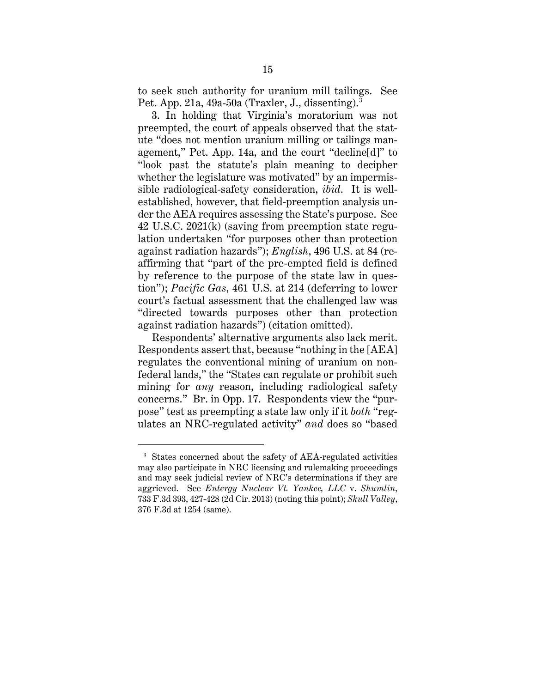to seek such authority for uranium mill tailings. See Pet. App. 21a, 49a-50a (Traxler, J., dissenting). $3$ 

3. In holding that Virginia's moratorium was not preempted, the court of appeals observed that the statute "does not mention uranium milling or tailings management," Pet. App. 14a, and the court "decline[d]" to "look past the statute's plain meaning to decipher whether the legislature was motivated" by an impermissible radiological-safety consideration, *ibid*. It is wellestablished, however, that field-preemption analysis under the AEA requires assessing the State's purpose. See 42 U.S.C. 2021(k) (saving from preemption state regulation undertaken "for purposes other than protection against radiation hazards"); *English*, 496 U.S. at 84 (reaffirming that "part of the pre-empted field is defined by reference to the purpose of the state law in question"); *Pacific Gas*, 461 U.S. at 214 (deferring to lower court's factual assessment that the challenged law was "directed towards purposes other than protection against radiation hazards") (citation omitted).

Respondents' alternative arguments also lack merit. Respondents assert that, because "nothing in the [AEA] regulates the conventional mining of uranium on nonfederal lands," the "States can regulate or prohibit such mining for *any* reason, including radiological safety concerns." Br. in Opp. 17. Respondents view the "purpose" test as preempting a state law only if it *both* "regulates an NRC-regulated activity" *and* does so "based

<sup>3</sup> States concerned about the safety of AEA-regulated activities may also participate in NRC licensing and rulemaking proceedings and may seek judicial review of NRC's determinations if they are aggrieved. See *Entergy Nuclear Vt. Yankee, LLC* v. *Shumlin*, 733 F.3d 393, 427-428 (2d Cir. 2013) (noting this point); *Skull Valley*, 376 F.3d at 1254 (same).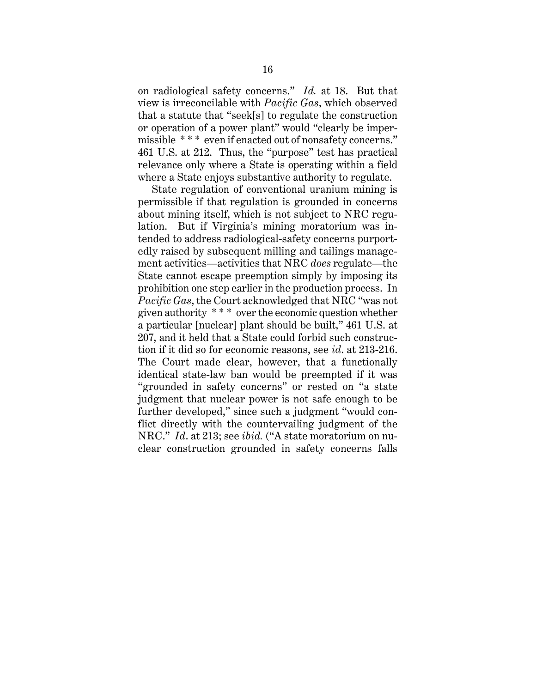on radiological safety concerns." *Id.* at 18. But that view is irreconcilable with *Pacific Gas*, which observed that a statute that "seek[s] to regulate the construction or operation of a power plant" would "clearly be impermissible \*\*\* even if enacted out of nonsafety concerns." 461 U.S. at 212. Thus, the "purpose" test has practical relevance only where a State is operating within a field where a State enjoys substantive authority to regulate.

State regulation of conventional uranium mining is permissible if that regulation is grounded in concerns about mining itself, which is not subject to NRC regulation. But if Virginia's mining moratorium was intended to address radiological-safety concerns purportedly raised by subsequent milling and tailings management activities—activities that NRC *does* regulate—the State cannot escape preemption simply by imposing its prohibition one step earlier in the production process. In *Pacific Gas*, the Court acknowledged that NRC "was not given authority \* \* \* over the economic question whether a particular [nuclear] plant should be built," 461 U.S. at 207, and it held that a State could forbid such construction if it did so for economic reasons, see *id*. at 213-216. The Court made clear, however, that a functionally identical state-law ban would be preempted if it was "grounded in safety concerns" or rested on "a state judgment that nuclear power is not safe enough to be further developed," since such a judgment "would conflict directly with the countervailing judgment of the NRC." *Id*. at 213; see *ibid.* ("A state moratorium on nuclear construction grounded in safety concerns falls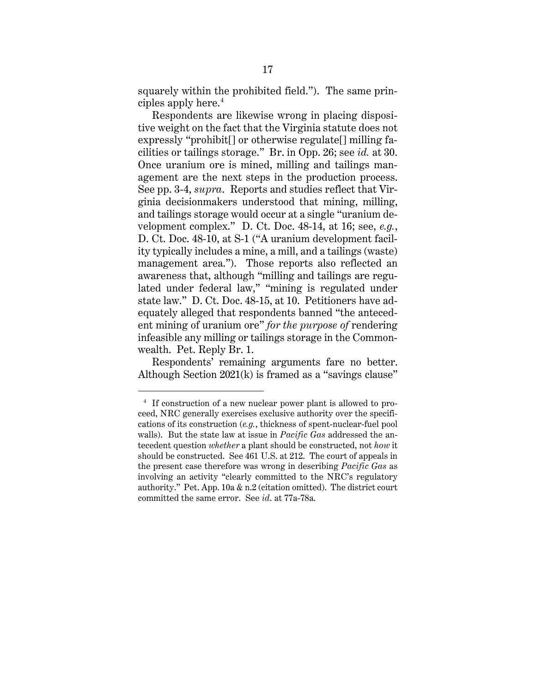squarely within the prohibited field."). The same principles apply here. 4

Respondents are likewise wrong in placing dispositive weight on the fact that the Virginia statute does not expressly "prohibit[] or otherwise regulate[] milling facilities or tailings storage." Br. in Opp. 26; see *id.* at 30. Once uranium ore is mined, milling and tailings management are the next steps in the production process. See pp. 3-4, *supra*. Reports and studies reflect that Virginia decisionmakers understood that mining, milling, and tailings storage would occur at a single "uranium development complex." D. Ct. Doc. 48-14, at 16; see, *e.g.*, D. Ct. Doc. 48-10, at S-1 ("A uranium development facility typically includes a mine, a mill, and a tailings (waste) management area."). Those reports also reflected an awareness that, although "milling and tailings are regulated under federal law," "mining is regulated under state law." D. Ct. Doc. 48-15, at 10. Petitioners have adequately alleged that respondents banned "the antecedent mining of uranium ore" *for the purpose of* rendering infeasible any milling or tailings storage in the Commonwealth. Pet. Reply Br. 1.

Respondents' remaining arguments fare no better. Although Section 2021(k) is framed as a "savings clause"

<sup>4</sup> If construction of a new nuclear power plant is allowed to proceed, NRC generally exercises exclusive authority over the specifications of its construction (*e.g.*, thickness of spent-nuclear-fuel pool walls). But the state law at issue in *Pacific Gas* addressed the antecedent question *whether* a plant should be constructed, not *how* it should be constructed. See 461 U.S. at 212. The court of appeals in the present case therefore was wrong in describing *Pacific Gas* as involving an activity "clearly committed to the NRC's regulatory authority." Pet. App. 10a & n.2 (citation omitted). The district court committed the same error. See *id*. at 77a-78a.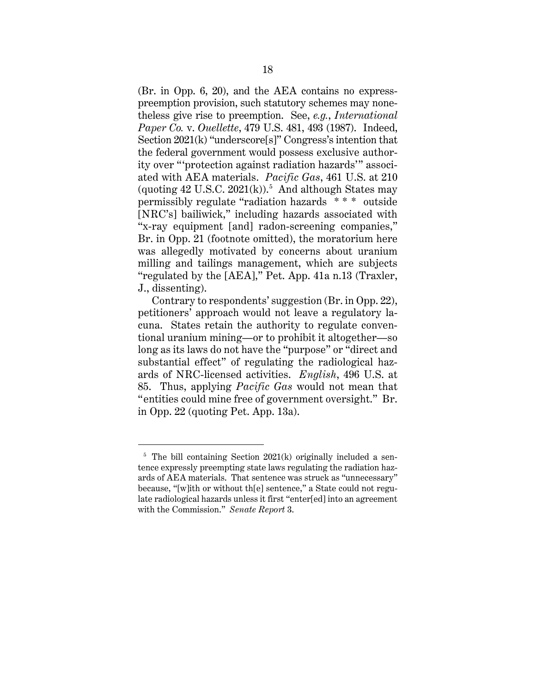(Br. in Opp. 6, 20), and the AEA contains no expresspreemption provision, such statutory schemes may nonetheless give rise to preemption. See, *e.g.*, *International Paper Co.* v. *Ouellette*, 479 U.S. 481, 493 (1987). Indeed, Section 2021(k) "underscore[s]" Congress's intention that the federal government would possess exclusive authority over "'protection against radiation hazards'" associated with AEA materials. *Pacific Gas*, 461 U.S. at 210 (quoting  $42$  U.S.C.  $2021(k)$ ).<sup>5</sup> And although States may permissibly regulate "radiation hazards \* \* \* outside [NRC's] bailiwick," including hazards associated with "x-ray equipment [and] radon-screening companies," Br. in Opp. 21 (footnote omitted), the moratorium here was allegedly motivated by concerns about uranium milling and tailings management, which are subjects "regulated by the [AEA]," Pet. App. 41a n.13 (Traxler, J., dissenting).

Contrary to respondents' suggestion (Br. in Opp. 22), petitioners' approach would not leave a regulatory lacuna. States retain the authority to regulate conventional uranium mining—or to prohibit it altogether—so long as its laws do not have the "purpose" or "direct and substantial effect" of regulating the radiological hazards of NRC-licensed activities. *English*, 496 U.S. at 85. Thus, applying *Pacific Gas* would not mean that "entities could mine free of government oversight." Br. in Opp. 22 (quoting Pet. App. 13a).

 $5$  The bill containing Section 2021(k) originally included a sentence expressly preempting state laws regulating the radiation hazards of AEA materials. That sentence was struck as "unnecessary" because, "[w]ith or without th[e] sentence," a State could not regulate radiological hazards unless it first "enter[ed] into an agreement with the Commission." *Senate Report* 3.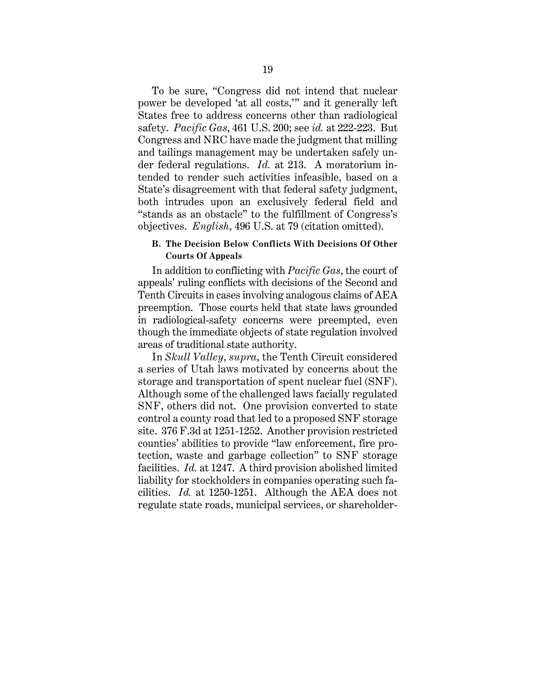To be sure, "Congress did not intend that nuclear power be developed 'at all costs,'" and it generally left States free to address concerns other than radiological safety. *Pacific Gas*, 461 U.S. 200; see *id.* at 222-223. But Congress and NRC have made the judgment that milling and tailings management may be undertaken safely under federal regulations. *Id.* at 213. A moratorium intended to render such activities infeasible, based on a State's disagreement with that federal safety judgment, both intrudes upon an exclusively federal field and "stands as an obstacle" to the fulfillment of Congress's objectives. *English*, 496 U.S. at 79 (citation omitted).

### **B. The Decision Below Conflicts With Decisions Of Other Courts Of Appeals**

In addition to conflicting with *Pacific Gas*, the court of appeals' ruling conflicts with decisions of the Second and Tenth Circuits in cases involving analogous claims of AEA preemption. Those courts held that state laws grounded in radiological-safety concerns were preempted, even though the immediate objects of state regulation involved areas of traditional state authority.

In *Skull Valley*, *supra*, the Tenth Circuit considered a series of Utah laws motivated by concerns about the storage and transportation of spent nuclear fuel (SNF). Although some of the challenged laws facially regulated SNF, others did not. One provision converted to state control a county road that led to a proposed SNF storage site. 376 F.3d at 1251-1252. Another provision restricted counties' abilities to provide "law enforcement, fire protection, waste and garbage collection" to SNF storage facilities. *Id.* at 1247. A third provision abolished limited liability for stockholders in companies operating such facilities. *Id.* at 1250-1251. Although the AEA does not regulate state roads, municipal services, or shareholder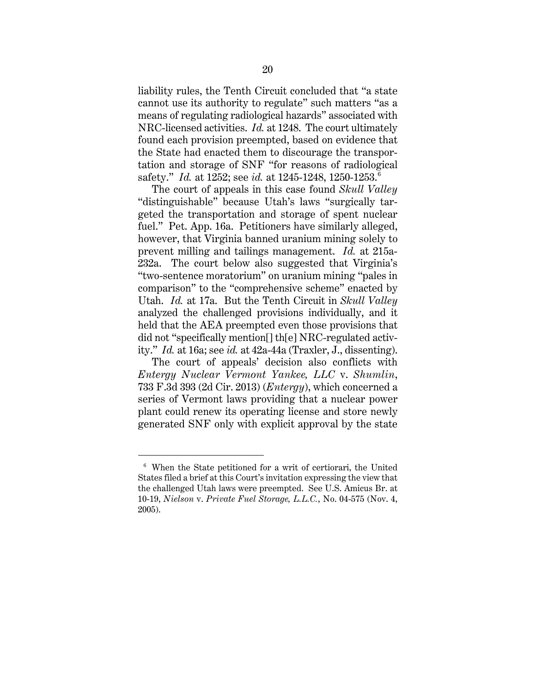liability rules, the Tenth Circuit concluded that "a state cannot use its authority to regulate" such matters "as a means of regulating radiological hazards" associated with NRC-licensed activities. *Id.* at 1248. The court ultimately found each provision preempted, based on evidence that the State had enacted them to discourage the transportation and storage of SNF "for reasons of radiological safety." *Id.* at 1252; see *id.* at 1245-1248, 1250-1253. 6

The court of appeals in this case found *Skull Valley*  "distinguishable" because Utah's laws "surgically targeted the transportation and storage of spent nuclear fuel." Pet. App. 16a. Petitioners have similarly alleged, however, that Virginia banned uranium mining solely to prevent milling and tailings management. *Id.* at 215a-232a. The court below also suggested that Virginia's "two-sentence moratorium" on uranium mining "pales in comparison" to the "comprehensive scheme" enacted by Utah. *Id.* at 17a. But the Tenth Circuit in *Skull Valley* analyzed the challenged provisions individually, and it held that the AEA preempted even those provisions that did not "specifically mention[] th[e] NRC-regulated activity." *Id.* at 16a; see *id.* at 42a-44a (Traxler, J., dissenting).

The court of appeals' decision also conflicts with *Entergy Nuclear Vermont Yankee, LLC* v. *Shumlin*, 733 F.3d 393 (2d Cir. 2013) (*Entergy*), which concerned a series of Vermont laws providing that a nuclear power plant could renew its operating license and store newly generated SNF only with explicit approval by the state

<sup>6</sup> When the State petitioned for a writ of certiorari, the United States filed a brief at this Court's invitation expressing the view that the challenged Utah laws were preempted. See U.S. Amicus Br. at 10-19, *Nielson* v. *Private Fuel Storage, L.L.C.*, No. 04-575 (Nov. 4, 2005).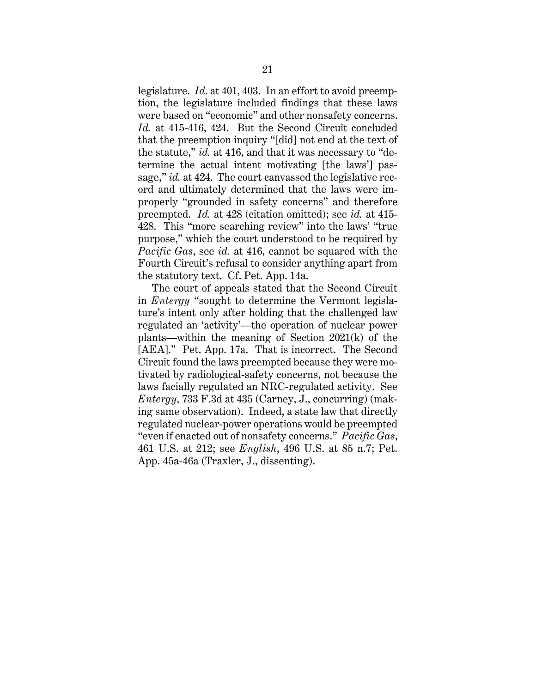legislature. *Id*. at 401, 403. In an effort to avoid preemption, the legislature included findings that these laws were based on "economic" and other nonsafety concerns. *Id.* at 415-416, 424. But the Second Circuit concluded that the preemption inquiry "[did] not end at the text of the statute," *id.* at 416, and that it was necessary to "determine the actual intent motivating [the laws'] passage," *id.* at 424. The court canvassed the legislative record and ultimately determined that the laws were improperly "grounded in safety concerns" and therefore preempted. *Id.* at 428 (citation omitted); see *id.* at 415- 428. This "more searching review" into the laws' "true purpose," which the court understood to be required by *Pacific Gas*, see *id.* at 416, cannot be squared with the Fourth Circuit's refusal to consider anything apart from the statutory text. Cf. Pet. App. 14a.

The court of appeals stated that the Second Circuit in *Entergy* "sought to determine the Vermont legislature's intent only after holding that the challenged law regulated an 'activity'—the operation of nuclear power plants—within the meaning of Section 2021(k) of the [AEA]." Pet. App. 17a. That is incorrect. The Second Circuit found the laws preempted because they were motivated by radiological-safety concerns, not because the laws facially regulated an NRC-regulated activity. See *Entergy*, 733 F.3d at 435 (Carney, J., concurring) (making same observation).Indeed, a state law that directly regulated nuclear-power operations would be preempted "even if enacted out of nonsafety concerns." *Pacific Gas*, 461 U.S. at 212; see *English*, 496 U.S. at 85 n.7; Pet. App. 45a-46a (Traxler, J., dissenting).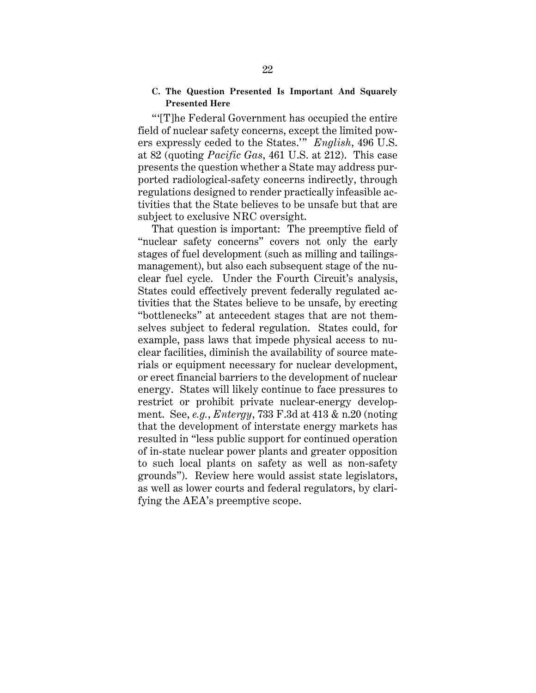### **C. The Question Presented Is Important And Squarely Presented Here**

"'[T]he Federal Government has occupied the entire field of nuclear safety concerns, except the limited powers expressly ceded to the States.'" *English*, 496 U.S. at 82 (quoting *Pacific Gas*, 461 U.S. at 212). This case presents the question whether a State may address purported radiological-safety concerns indirectly, through regulations designed to render practically infeasible activities that the State believes to be unsafe but that are subject to exclusive NRC oversight.

That question is important: The preemptive field of "nuclear safety concerns" covers not only the early stages of fuel development (such as milling and tailingsmanagement), but also each subsequent stage of the nuclear fuel cycle. Under the Fourth Circuit's analysis, States could effectively prevent federally regulated activities that the States believe to be unsafe, by erecting "bottlenecks" at antecedent stages that are not themselves subject to federal regulation. States could, for example, pass laws that impede physical access to nuclear facilities, diminish the availability of source materials or equipment necessary for nuclear development, or erect financial barriers to the development of nuclear energy. States will likely continue to face pressures to restrict or prohibit private nuclear-energy development. See, *e.g.*, *Entergy*, 733 F.3d at 413 & n.20 (noting that the development of interstate energy markets has resulted in "less public support for continued operation of in-state nuclear power plants and greater opposition to such local plants on safety as well as non-safety grounds"). Review here would assist state legislators, as well as lower courts and federal regulators, by clarifying the AEA's preemptive scope.